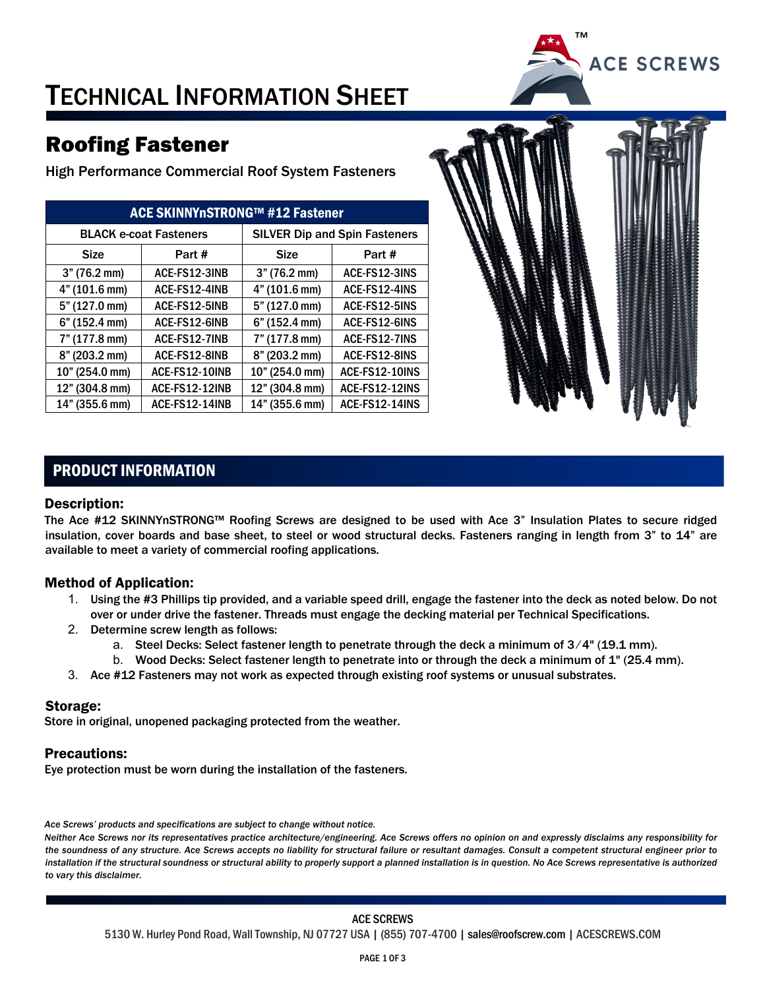

## TECHNICAL INFORMATION SHEET

## Roofing Fastener

High Performance Commercial Roof System Fasteners

| ACE SKINNYnSTRONG™ #12 Fastener |                      |                                      |                |  |  |  |  |
|---------------------------------|----------------------|--------------------------------------|----------------|--|--|--|--|
| <b>BLACK e-coat Fasteners</b>   |                      | <b>SILVER Dip and Spin Fasteners</b> |                |  |  |  |  |
| <b>Size</b>                     | Part #               | <b>Size</b>                          | Part #         |  |  |  |  |
| 3" (76.2 mm)                    | ACE-FS12-3INB        | 3" (76.2 mm)                         | ACE-FS12-3INS  |  |  |  |  |
| 4" (101.6 mm)                   | ACE-FS12-4INB        | 4" (101.6 mm)                        | ACE-FS12-4INS  |  |  |  |  |
| 5" (127.0 mm)                   | ACE-FS12-5INB        | 5" (127.0 mm)                        | ACE-FS12-5INS  |  |  |  |  |
| 6" (152.4 mm)                   | ACE-FS12-6INB        | 6" (152.4 mm)                        | ACE-FS12-6INS  |  |  |  |  |
| 7" (177.8 mm)                   | <b>ACE-FS12-7INB</b> | 7" (177.8 mm)                        | ACE-FS12-7INS  |  |  |  |  |
| 8" (203.2 mm)                   | ACE-FS12-8INB        | 8" (203.2 mm)                        | ACE-FS12-8INS  |  |  |  |  |
| 10" (254.0 mm)                  | ACE-FS12-10INB       | 10" (254.0 mm)                       | ACE-FS12-10INS |  |  |  |  |
| 12" (304.8 mm)                  | ACE-FS12-12INB       | 12" (304.8 mm)                       | ACE-FS12-12INS |  |  |  |  |
| 14" (355.6 mm)                  | ACE-FS12-14INB       | 14" (355.6 mm)                       | ACE-FS12-14INS |  |  |  |  |



#### PRODUCT INFORMATION

#### Description:

The Ace #12 SKINNYnSTRONG™ Roofing Screws are designed to be used with Ace 3" Insulation Plates to secure ridged insulation, cover boards and base sheet, to steel or wood structural decks. Fasteners ranging in length from 3" to 14" are available to meet a variety of commercial roofing applications.

#### Method of Application:

- 1. Using the #3 Phillips tip provided, and a variable speed drill, engage the fastener into the deck as noted below. Do not over or under drive the fastener. Threads must engage the decking material per Technical Specifications.
- 2. Determine screw length as follows:
	- a. Steel Decks: Select fastener length to penetrate through the deck a minimum of 3/4" (19.1 mm).
	- b. Wood Decks: Select fastener length to penetrate into or through the deck a minimum of 1" (25.4 mm).
- 3. Ace #12 Fasteners may not work as expected through existing roof systems or unusual substrates.

#### Storage:

Store in original, unopened packaging protected from the weather.

#### Precautions:

Eye protection must be worn during the installation of the fasteners.

*Ace Screws' products and specifications are subject to change without notice.* 

*Neither Ace Screws nor its representatives practice architecture/engineering. Ace Screws offers no opinion on and expressly disclaims any responsibility for the soundness of any structure. Ace Screws accepts no liability for structural failure or resultant damages. Consult a competent structural engineer prior to*  installation if the structural soundness or structural ability to properly support a planned installation is in question. No Ace Screws representative is authorized *to vary this disclaimer.*

#### ACE SCREWS

5130 W. Hurley Pond Road, Wall Township, NJ 07727 USA | (855) 707-4700 | sales@roofscrew.com | ACESCREWS.COM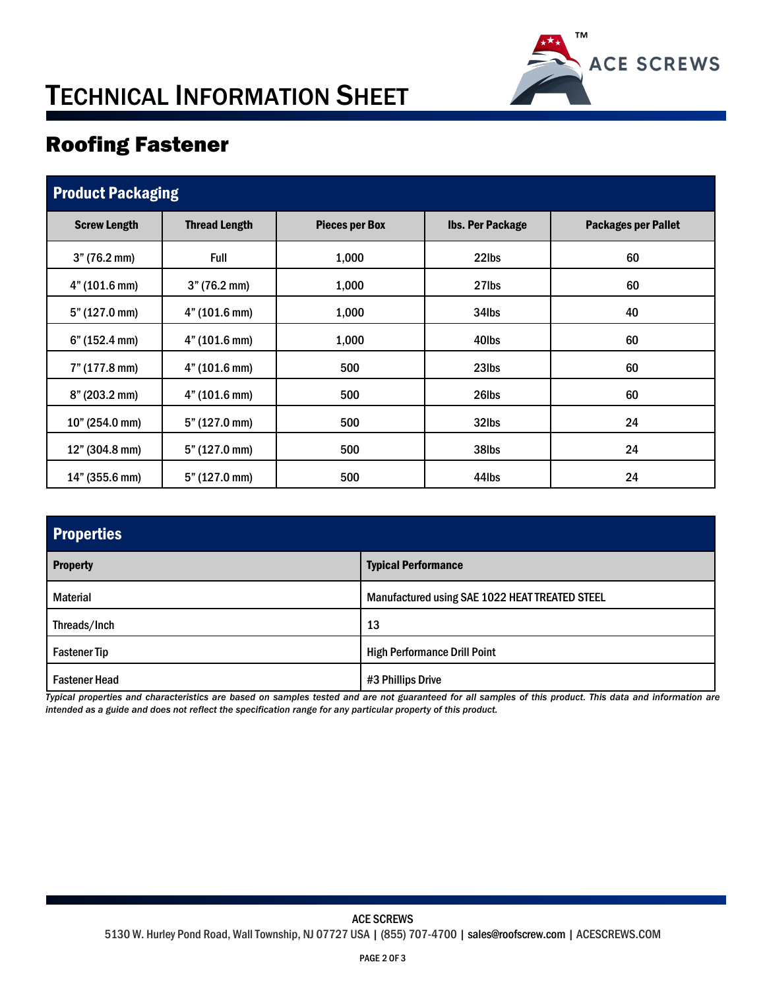

# TECHNICAL INFORMATION SHEET

## Roofing Fastener

| <b>Product Packaging</b> |                      |                       |                         |                            |  |  |  |
|--------------------------|----------------------|-----------------------|-------------------------|----------------------------|--|--|--|
| <b>Screw Length</b>      | <b>Thread Length</b> | <b>Pieces per Box</b> | <b>Ibs. Per Package</b> | <b>Packages per Pallet</b> |  |  |  |
| 3" (76.2 mm)             | <b>Full</b>          | 1,000                 | 22lbs                   | 60                         |  |  |  |
| 4" (101.6 mm)            | 3" (76.2 mm)         | 1,000                 | 27lbs                   | 60                         |  |  |  |
| 5" (127.0 mm)            | 4" (101.6 mm)        | 1,000                 | 34lbs                   | 40                         |  |  |  |
| 6" (152.4 mm)            | 4" (101.6 mm)        | 1,000                 | 40lbs                   | 60                         |  |  |  |
| 7" (177.8 mm)            | 4" (101.6 mm)        | 500                   | 23 <sub>lbs</sub>       | 60                         |  |  |  |
| $8"$ (203.2 mm)          | 4" (101.6 mm)        | 500                   | 26lbs                   | 60                         |  |  |  |
| 10" (254.0 mm)           | 5" (127.0 mm)        | 500                   | 32lbs                   | 24                         |  |  |  |
| 12" (304.8 mm)           | 5" (127.0 mm)        | 500                   | 38lbs                   | 24                         |  |  |  |
| 14" (355.6 mm)           | 5" (127.0 mm)        | 500                   | 44lbs                   | 24                         |  |  |  |

| <b>Properties</b>                             |                                                |  |  |  |
|-----------------------------------------------|------------------------------------------------|--|--|--|
| <b>Typical Performance</b><br><b>Property</b> |                                                |  |  |  |
| <b>Material</b>                               | Manufactured using SAE 1022 HEAT TREATED STEEL |  |  |  |
| Threads/Inch                                  | 13                                             |  |  |  |
| <b>Fastener Tip</b>                           | <b>High Performance Drill Point</b>            |  |  |  |
| <b>Fastener Head</b>                          | #3 Phillips Drive                              |  |  |  |

*Typical properties and characteristics are based on samples tested and are not guaranteed for all samples of this product. This data and information are intended as a guide and does not reflect the specification range for any particular property of this product.*